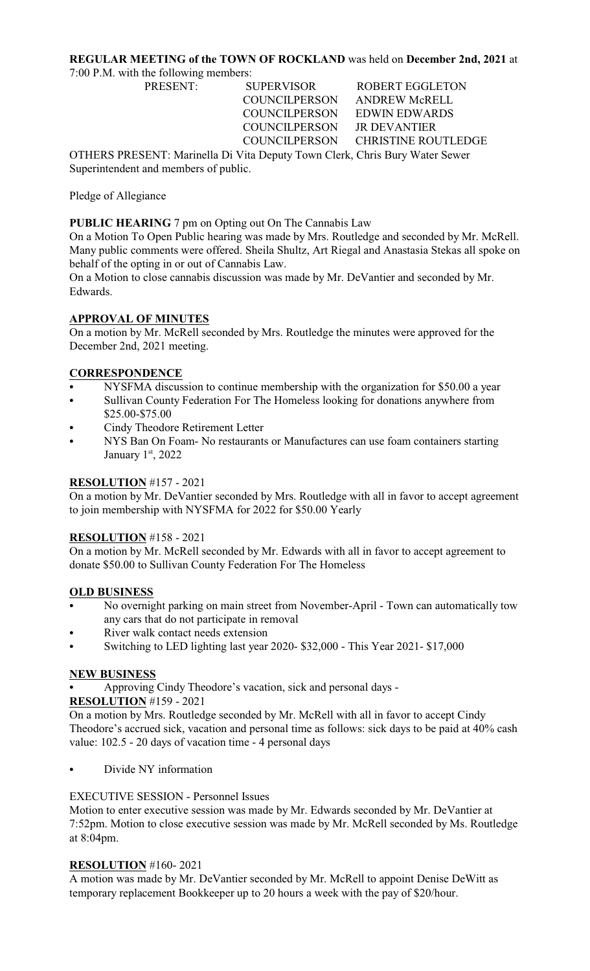# **REGULAR MEETING of the TOWN OF ROCKLAND** was held on **December 2nd, 2021** at

7:00 P.M. with the following members:

PRESENT: SUPERVISOR ROBERT EGGLETON COUNCILPERSON ANDREW McRELL COUNCILPERSON EDWIN EDWARDS COUNCILPERSON JR DEVANTIER

COUNCILPERSON CHRISTINE ROUTLEDGE

OTHERS PRESENT: Marinella Di Vita Deputy Town Clerk, Chris Bury Water Sewer Superintendent and members of public.

Pledge of Allegiance

**PUBLIC HEARING** 7 pm on Opting out On The Cannabis Law

On a Motion To Open Public hearing was made by Mrs. Routledge and seconded by Mr. McRell. Many public comments were offered. Sheila Shultz, Art Riegal and Anastasia Stekas all spoke on behalf of the opting in or out of Cannabis Law.

On a Motion to close cannabis discussion was made by Mr. DeVantier and seconded by Mr. Edwards.

## **APPROVAL OF MINUTES**

On a motion by Mr. McRell seconded by Mrs. Routledge the minutes were approved for the December 2nd, 2021 meeting.

## **CORRESPONDENCE**

- NYSFMA discussion to continue membership with the organization for \$50.00 a year
- Sullivan County Federation For The Homeless looking for donations anywhere from \$25.00-\$75.00
- Cindy Theodore Retirement Letter
- NYS Ban On Foam- No restaurants or Manufactures can use foam containers starting January 1st, 2022

## **RESOLUTION** #157 - 2021

On a motion by Mr. DeVantier seconded by Mrs. Routledge with all in favor to accept agreement to join membership with NYSFMA for 2022 for \$50.00 Yearly

### **RESOLUTION** #158 - 2021

On a motion by Mr. McRell seconded by Mr. Edwards with all in favor to accept agreement to donate \$50.00 to Sullivan County Federation For The Homeless

### **OLD BUSINESS**

- No overnight parking on main street from November-April Town can automatically tow any cars that do not participate in removal
- River walk contact needs extension
- Switching to LED lighting last year 2020- \$32,000 This Year 2021- \$17,000

### **NEW BUSINESS**

Approving Cindy Theodore's vacation, sick and personal days -

## **RESOLUTION** #159 - 2021

On a motion by Mrs. Routledge seconded by Mr. McRell with all in favor to accept Cindy Theodore's accrued sick, vacation and personal time as follows: sick days to be paid at 40% cash value: 102.5 - 20 days of vacation time - 4 personal days

Divide NY information

### EXECUTIVE SESSION - Personnel Issues

Motion to enter executive session was made by Mr. Edwards seconded by Mr. DeVantier at 7:52pm. Motion to close executive session was made by Mr. McRell seconded by Ms. Routledge at 8:04pm.

### **RESOLUTION** #160- 2021

A motion was made by Mr. DeVantier seconded by Mr. McRell to appoint Denise DeWitt as temporary replacement Bookkeeper up to 20 hours a week with the pay of \$20/hour.